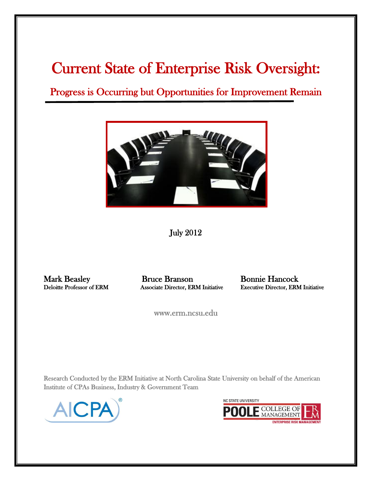# Current State of Enterprise Risk Oversight:

Progress is Occurring but Opportunities for Improvement Remain



July 2012

Mark Beasley Bruce Branson Bonnie Hancock

Deloitte Professor of ERM Associate Director, ERM Initiative Executive Director, ERM Initiative

www.erm.ncsu.edu

Research Conducted by the ERM Initiative at North Carolina State University on behalf of the American Institute of CPAs Business, Industry & Government Team



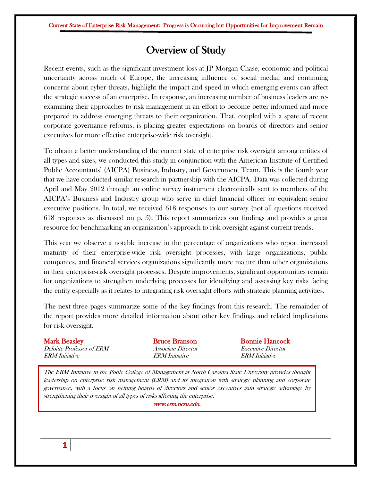### Overview of Study

Recent events, such as the significant investment loss at JP Morgan Chase, economic and political uncertainty across much of Europe, the increasing influence of social media, and continuing concerns about cyber threats, highlight the impact and speed in which emerging events can affect the strategic success of an enterprise. In response, an increasing number of business leaders are reexamining their approaches to risk management in an effort to become better informed and more prepared to address emerging threats to their organization. That, coupled with a spate of recent corporate governance reforms, is placing greater expectations on boards of directors and senior executives for more effective enterprise-wide risk oversight.

To obtain a better understanding of the current state of enterprise risk oversight among entities of all types and sizes, we conducted this study in conjunction with the American Institute of Certified Public Accountants' (AICPA) Business, Industry, and Government Team. This is the fourth year that we have conducted similar research in partnership with the AICPA. Data was collected during April and May 2012 through an online survey instrument electronically sent to members of the AICPA's Business and Industry group who serve in chief financial officer or equivalent senior executive positions. In total, we received 618 responses to our survey (not all questions received 618 responses as discussed on p. 5). This report summarizes our findings and provides a great resource for benchmarking an organization's approach to risk oversight against current trends.

This year we observe a notable increase in the percentage of organizations who report increased maturity of their enterprise-wide risk oversight processes, with large organizations, public companies, and financial services organizations significantly more mature than other organizations in their enterprise-risk oversight processes. Despite improvements, significant opportunities remain for organizations to strengthen underlying processes for identifying and assessing key risks facing the entity especially as it relates to integrating risk oversight efforts with strategic planning activities.

The next three pages summarize some of the key findings from this research. The remainder of the report provides more detailed information about other key findings and related implications for risk oversight.

| <b>Mark Beasley</b>                                | <b>Bruce Branson</b>                                      | <b>Bonnie Hancock</b>                              |
|----------------------------------------------------|-----------------------------------------------------------|----------------------------------------------------|
| Deloitte Professor of ERM<br><b>ERM</b> Initiative | <i>Associate Director</i><br><i><b>ERM</b></i> Initiative | <i>Executive Director</i><br><b>ERM</b> Initiative |
|                                                    |                                                           |                                                    |

The ERM Initiative in the Poole College of Management at North Carolina State University provides thought leadership on enterprise risk management (ERM) and its integration with strategic planning and corporate governance, with a focus on helping boards of directors and senior executives gain strategic advantage by strengthening their oversight of all types of risks affecting the enterprise.

www.erm.ncsu.edu.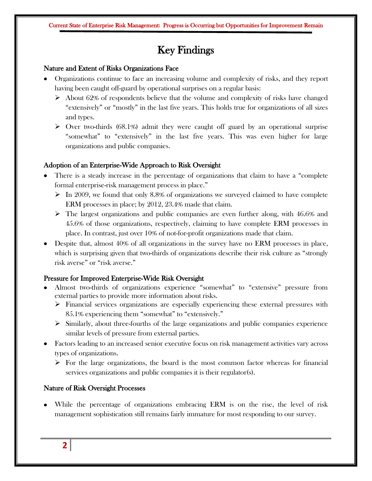## Key Findings

#### Nature and Extent of Risks Organizations Face

- Organizations continue to face an increasing volume and complexity of risks, and they report having been caught off-guard by operational surprises on a regular basis:
	- $\triangleright$  About 62% of respondents believe that the volume and complexity of risks have changed "extensively" or "mostly" in the last five years. This holds true for organizations of all sizes and types.
	- $\triangleright$  Over two-thirds (68.1%) admit they were caught off guard by an operational surprise "somewhat" to "extensively" in the last five years. This was even higher for large organizations and public companies.

#### Adoption of an Enterprise-Wide Approach to Risk Oversight

- There is a steady increase in the percentage of organizations that claim to have a "complete formal enterprise-risk management process in place."
	- $\triangleright$  In 2009, we found that only 8.8% of organizations we surveyed claimed to have complete ERM processes in place; by 2012, 23.4% made that claim.
	- $\triangleright$  The largest organizations and public companies are even further along, with 46.6% and 45.6% of those organizations, respectively, claiming to have complete ERM processes in place. In contrast, just over 10% of not-for-profit organizations made that claim.
- Despite that, almost 40% of all organizations in the survey have no ERM processes in place, which is surprising given that two-thirds of organizations describe their risk culture as "strongly risk averse" or "risk averse."

#### Pressure for Improved Enterprise-Wide Risk Oversight

- Almost two-thirds of organizations experience "somewhat" to "extensive" pressure from external parties to provide more information about risks.
	- $\triangleright$  Financial services organizations are especially experiencing these external pressures with 85.1% experiencing them "somewhat" to "extensively."
	- $\triangleright$  Similarly, about three-fourths of the large organizations and public companies experience similar levels of pressure from external parties.
- Factors leading to an increased senior executive focus on risk management activities vary across types of organizations.
	- $\triangleright$  For the large organizations, the board is the most common factor whereas for financial services organizations and public companies it is their regulator(s).

#### Nature of Risk Oversight Processes

While the percentage of organizations embracing ERM is on the rise, the level of risk management sophistication still remains fairly immature for most responding to our survey.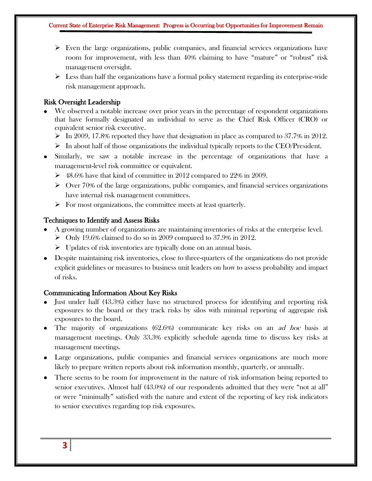- $\triangleright$  Even the large organizations, public companies, and financial services organizations have room for improvement, with less than 40% claiming to have "mature" or "robust" risk management oversight.
- $\triangleright$  Less than half the organizations have a formal policy statement regarding its enterprise-wide risk management approach.

#### Risk Oversight Leadership

- We observed a notable increase over prior years in the percentage of respondent organizations that have formally designated an individual to serve as the Chief Risk Officer (CRO) or equivalent senior risk executive.
	- $\triangleright$  In 2009, 17.8% reported they have that designation in place as compared to 37.7% in 2012.
	- $\triangleright$  In about half of those organizations the individual typically reports to the CEO/President.
- Similarly, we saw a notable increase in the percentage of organizations that have a management-level risk committee or equivalent.
	- $\geq 48.6\%$  have that kind of committee in 2012 compared to 22% in 2009.
	- $\triangleright$  Over 70% of the large organizations, public companies, and financial services organizations have internal risk management committees.
	- $\triangleright$  For most organizations, the committee meets at least quarterly.

#### Techniques to Identify and Assess Risks

- A growing number of organizations are maintaining inventories of risks at the enterprise level.  $\triangleright$  Only 19.6% claimed to do so in 2009 compared to 37.9% in 2012.
	- $\triangleright$  Updates of risk inventories are typically done on an annual basis.
- Despite maintaining risk inventories, close to three-quarters of the organizations do not provide explicit guidelines or measures to business unit leaders on how to assess probability and impact of risks.

#### Communicating Information About Key Risks

- Just under half (43.3%) either have no structured process for identifying and reporting risk exposures to the board or they track risks by silos with minimal reporting of aggregate risk exposures to the board.
- The majority of organizations  $(62.6%)$  communicate key risks on an *ad hoc* basis at management meetings. Only 33.3% explicitly schedule agenda time to discuss key risks at management meetings.
- Large organizations, public companies and financial services organizations are much more likely to prepare written reports about risk information monthly, quarterly, or annually.
- There seems to be room for improvement in the nature of risk information being reported to senior executives. Almost half (43.0%) of our respondents admitted that they were "not at all" or were "minimally" satisfied with the nature and extent of the reporting of key risk indicators to senior executives regarding top risk exposures.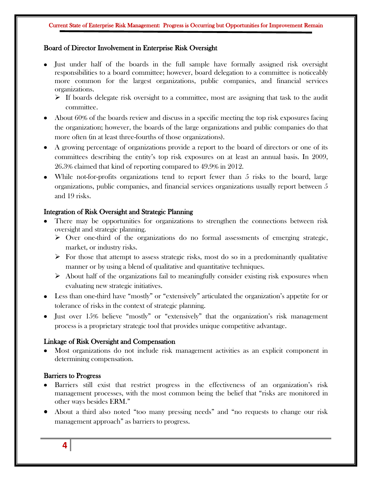#### Board of Director Involvement in Enterprise Risk Oversight

- Just under half of the boards in the full sample have formally assigned risk oversight responsibilities to a board committee; however, board delegation to a committee is noticeably more common for the largest organizations, public companies, and financial services organizations.
	- $\triangleright$  If boards delegate risk oversight to a committee, most are assigning that task to the audit committee.
- About 60% of the boards review and discuss in a specific meeting the top risk exposures facing the organization; however, the boards of the large organizations and public companies do that more often (in at least three-fourths of those organizations).
- A growing percentage of organizations provide a report to the board of directors or one of its committees describing the entity's top risk exposures on at least an annual basis. In 2009, 26.3% claimed that kind of reporting compared to 49.9% in 2012.
- While not-for-profits organizations tend to report fewer than 5 risks to the board, large organizations, public companies, and financial services organizations usually report between 5 and 19 risks.

#### Integration of Risk Oversight and Strategic Planning

- There may be opportunities for organizations to strengthen the connections between risk oversight and strategic planning.
	- $\triangleright$  Over one-third of the organizations do no formal assessments of emerging strategic, market, or industry risks.
	- $\triangleright$  For those that attempt to assess strategic risks, most do so in a predominantly qualitative manner or by using a blend of qualitative and quantitative techniques.
	- $\triangleright$  About half of the organizations fail to meaningfully consider existing risk exposures when evaluating new strategic initiatives.
- Less than one-third have "mostly" or "extensively" articulated the organization's appetite for or tolerance of risks in the context of strategic planning.
- Just over 15% believe "mostly" or "extensively" that the organization's risk management process is a proprietary strategic tool that provides unique competitive advantage.

#### Linkage of Risk Oversight and Compensation

Most organizations do not include risk management activities as an explicit component in determining compensation.

#### Barriers to Progress

- Barriers still exist that restrict progress in the effectiveness of an organization's risk management processes, with the most common being the belief that "risks are monitored in other ways besides ERM."
- About a third also noted "too many pressing needs" and "no requests to change our risk management approach" as barriers to progress.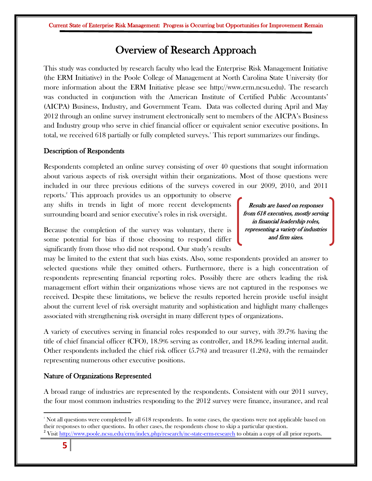### Overview of Research Approach

This study was conducted by research faculty who lead the Enterprise Risk Management Initiative (the ERM Initiative) in the Poole College of Management at North Carolina State University (for more information about the ERM Initiative please see http://www.erm.ncsu.edu). The research was conducted in conjunction with the American Institute of Certified Public Accountants' (AICPA) Business, Industry, and Government Team. Data was collected during April and May 2012 through an online survey instrument electronically sent to members of the AICPA's Business and Industry group who serve in chief financial officer or equivalent senior executive positions. In total, we received 618 partially or fully completed surveys. <sup>1</sup> This report summarizes our findings.

#### Description of Respondents

Respondents completed an online survey consisting of over 40 questions that sought information about various aspects of risk oversight within their organizations. Most of those questions were included in our three previous editions of the surveys covered in our 2009, 2010, and 2011

reports. <sup>2</sup> This approach provides us an opportunity to observe any shifts in trends in light of more recent developments surrounding board and senior executive's roles in risk oversight.

Because the completion of the survey was voluntary, there is some potential for bias if those choosing to respond differ significantly from those who did not respond. Our study's results

Results are based on responses from 618 executives, mostly serving in financial leadership roles, representing a variety of industries and firm sizes.

may be limited to the extent that such bias exists. Also, some respondents provided an answer to selected questions while they omitted others. Furthermore, there is a high concentration of respondents representing financial reporting roles. Possibly there are others leading the risk management effort within their organizations whose views are not captured in the responses we received. Despite these limitations, we believe the results reported herein provide useful insight about the current level of risk oversight maturity and sophistication and highlight many challenges associated with strengthening risk oversight in many different types of organizations.

A variety of executives serving in financial roles responded to our survey, with 39.7% having the title of chief financial officer (CFO), 18.9% serving as controller, and 18.9% leading internal audit. Other respondents included the chief risk officer (5.7%) and treasurer (1.2%), with the remainder representing numerous other executive positions.

#### Nature of Organizations Represented

A broad range of industries are represented by the respondents. Consistent with our 2011 survey, the four most common industries responding to the 2012 survey were finance, insurance, and real

 $\overline{\phantom{a}}$ <sup>1</sup> Not all questions were completed by all 618 respondents. In some cases, the questions were not applicable based on their responses to other questions. In other cases, the respondents chose to skip a particular question. <sup>2</sup> Visit<http://www.poole.ncsu.edu/erm/index.php/research/nc-state-erm-research> to obtain a copy of all prior reports.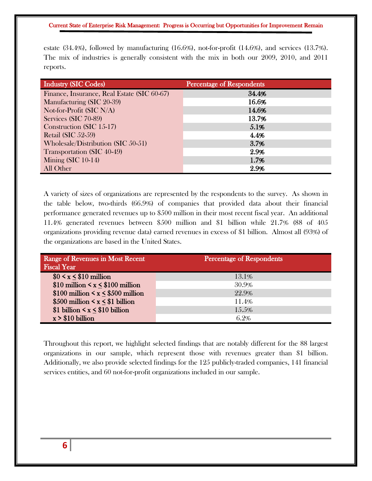estate (34.4%), followed by manufacturing (16.6%), not-for-profit (14.6%), and services (13.7%). The mix of industries is generally consistent with the mix in both our 2009, 2010, and 2011 reports.

| <b>Industry (SIC Codes)</b>                 | <b>Percentage of Respondents</b> |
|---------------------------------------------|----------------------------------|
| Finance, Insurance, Real Estate (SIC 60-67) | 34.4%                            |
| Manufacturing (SIC 20-39)                   | 16.6%                            |
| Not-for-Profit (SIC $N/A$ )                 | 14.6%                            |
| Services (SIC 70-89)                        | 13.7%                            |
| Construction (SIC 15-17)                    | 5.1%                             |
| Retail (SIC $52-59$ )                       | 4.4%                             |
| Wholesale/Distribution (SIC 50-51)          | 3.7%                             |
| Transportation (SIC 40-49)                  | 2.9%                             |
| <b>Mining (SIC 10-14)</b>                   | 1.7%                             |
| All Other                                   | 2.9%                             |

A variety of sizes of organizations are represented by the respondents to the survey. As shown in the table below, two-thirds (66.9%) of companies that provided data about their financial performance generated revenues up to \$500 million in their most recent fiscal year. An additional 11.4% generated revenues between \$500 million and \$1 billion while 21.7% (88 of 405 organizations providing revenue data) earned revenues in excess of \$1 billion. Almost all (93%) of the organizations are based in the United States.

| Range of Revenues in Most Recent<br><b>Fiscal Year</b> | <b>Percentage of Respondents</b> |
|--------------------------------------------------------|----------------------------------|
| $$0 \lt x \lt $10$ million                             | 13.1%                            |
| $$10$ million $< x < $100$ million                     | 30.9%                            |
| $$100$ million < x < \$500 million                     | 22.9%                            |
| $$500$ million $\leq x \leq $1$ billion                | 11.4%                            |
| \$1 billion $\leq x \leq$ \$10 billion                 | 15.5%                            |
| $x > $10$ billion                                      | 6.2%                             |

Throughout this report, we highlight selected findings that are notably different for the 88 largest organizations in our sample, which represent those with revenues greater than \$1 billion. Additionally, we also provide selected findings for the 125 publicly-traded companies, 141 financial services entities, and 60 not-for-profit organizations included in our sample.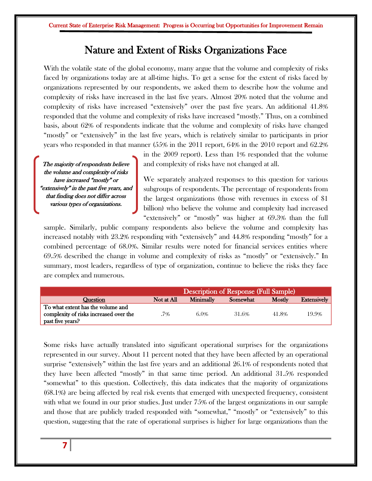### Nature and Extent of Risks Organizations Face

With the volatile state of the global economy, many argue that the volume and complexity of risks faced by organizations today are at all-time highs. To get a sense for the extent of risks faced by organizations represented by our respondents, we asked them to describe how the volume and complexity of risks have increased in the last five years. Almost 20% noted that the volume and complexity of risks have increased "extensively" over the past five years. An additional 41.8% responded that the volume and complexity of risks have increased "mostly." Thus, on a combined basis, about 62% of respondents indicate that the volume and complexity of risks have changed "mostly" or "extensively" in the last five years, which is relatively similar to participants in prior years who responded in that manner (55% in the 2011 report, 64% in the 2010 report and 62.2%

The majority of respondents believe the volume and complexity of risks have increased "mostly" or "extensively" in the past five years, and that finding does not differ across various types of organizations.

in the 2009 report). Less than 1% responded that the volume and complexity of risks have not changed at all.

We separately analyzed responses to this question for various subgroups of respondents. The percentage of respondents from the largest organizations (those with revenues in excess of \$1 billion) who believe the volume and complexity had increased "extensively" or "mostly" was higher at 69.3% than the full

sample. Similarly, public company respondents also believe the volume and complexity has increased notably with 23.2% responding with "extensively" and 44.8% responding "mostly" for a combined percentage of 68.0%. Similar results were noted for financial services entities where 69.5% described the change in volume and complexity of risks as "mostly" or "extensively." In summary, most leaders, regardless of type of organization, continue to believe the risks they face are complex and numerous.

|                                        | Description of Response (Full Sample) |           |          |        |                    |  |  |
|----------------------------------------|---------------------------------------|-----------|----------|--------|--------------------|--|--|
| Question                               | Not at All                            | Minimally | Somewhat | Mostly | <b>Extensively</b> |  |  |
| To what extent has the volume and      |                                       |           |          |        |                    |  |  |
| complexity of risks increased over the | .7%                                   | $6.0\%$   | 31.6%    | 41.8%  | 19.9%              |  |  |
| past five years?                       |                                       |           |          |        |                    |  |  |

Some risks have actually translated into significant operational surprises for the organizations represented in our survey. About 11 percent noted that they have been affected by an operational surprise "extensively" within the last five years and an additional 26.1% of respondents noted that they have been affected "mostly" in that same time period. An additional 31.5% responded "somewhat" to this question. Collectively, this data indicates that the majority of organizations (68.1%) are being affected by real risk events that emerged with unexpected frequency, consistent with what we found in our prior studies. Just under 75% of the largest organizations in our sample and those that are publicly traded responded with "somewhat," "mostly" or "extensively" to this question, suggesting that the rate of operational surprises is higher for large organizations than the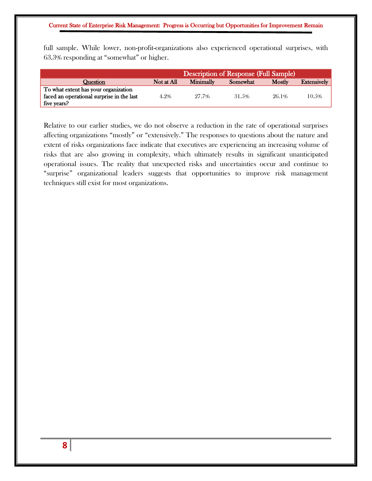full sample. While lower, non-profit-organizations also experienced operational surprises, with 63.3% responding at "somewhat" or higher.

|                                           | <b>Description of Response (Full Sample)</b> |                  |          |        |                    |  |
|-------------------------------------------|----------------------------------------------|------------------|----------|--------|--------------------|--|
| Question                                  | Not at All                                   | <b>Minimally</b> | Somewhat | Mostly | <b>Extensively</b> |  |
| To what extent has your organization      |                                              |                  |          |        |                    |  |
| faced an operational surprise in the last | 4.2%                                         | 27.7%            | 31.5%    | 26.1%  | 10.5%              |  |
| five years?                               |                                              |                  |          |        |                    |  |

Relative to our earlier studies, we do not observe a reduction in the rate of operational surprises affecting organizations "mostly" or "extensively." The responses to questions about the nature and extent of risks organizations face indicate that executives are experiencing an increasing volume of risks that are also growing in complexity, which ultimately results in significant unanticipated operational issues. The reality that unexpected risks and uncertainties occur and continue to "surprise" organizational leaders suggests that opportunities to improve risk management techniques still exist for most organizations.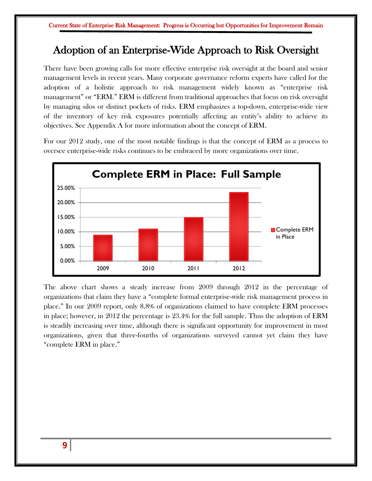# Adoption of an Enterprise-Wide Approach to Risk Oversight

There have been growing calls for more effective enterprise risk oversight at the board and senior management levels in recent years. Many corporate governance reform experts have called for the adoption of a holistic approach to risk management widely known as "enterprise risk management" or "ERM." ERM is different from traditional approaches that focus on risk oversight by managing silos or distinct pockets of risks. ERM emphasizes a top-down, enterprise-wide view of the inventory of key risk exposures potentially affecting an entity's ability to achieve its objectives. See Appendix A for more information about the concept of ERM.

For our 2012 study, one of the most notable findings is that the concept of ERM as a process to oversee enterprise-wide risks continues to be embraced by more organizations over time.



The above chart shows a steady increase from 2009 through 2012 in the percentage of organizations that claim they have a "complete formal enterprise-wide risk management process in place." In our 2009 report, only 8.8% of organizations claimed to have complete ERM processes in place; however, in 2012 the percentage is 23.4% for the full sample. Thus the adoption of ERM is steadily increasing over time, although there is significant opportunity for improvement in most organizations, given that three-fourths of organizations surveyed cannot yet claim they have "complete ERM in place."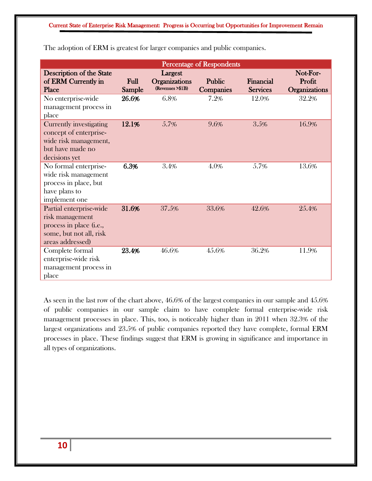| <b>Percentage of Respondents</b>                                                                                       |                |                                                     |                            |                              |                                     |  |  |  |
|------------------------------------------------------------------------------------------------------------------------|----------------|-----------------------------------------------------|----------------------------|------------------------------|-------------------------------------|--|--|--|
| Description of the State<br>of ERM Currently in<br>Place                                                               | Full<br>Sample | Largest<br><b>Organizations</b><br>(Revenues >\$1B) | Public<br><b>Companies</b> | Financial<br><b>Services</b> | Not-For-<br>Profit<br>Organizations |  |  |  |
| No enterprise-wide<br>management process in<br>place                                                                   | 26.6%          | 6.8%                                                | 7.2%                       | 12.0%                        | 32.2%                               |  |  |  |
| <b>Currently investigating</b><br>concept of enterprise-<br>wide risk management,<br>but have made no<br>decisions yet | 12.1%          | 5.7%                                                | 9.6%                       | 3.5%                         | 16.9%                               |  |  |  |
| No formal enterprise-<br>wide risk management<br>process in place, but<br>have plans to<br>implement one               | 6.3%           | 3.4%                                                | 4.0%                       | 5.7%                         | 13.6%                               |  |  |  |
| Partial enterprise-wide<br>risk management<br>process in place (i.e.,<br>some, but not all, risk<br>areas addressed)   | 31.6%          | 37.5%                                               | 33.6%                      | 42.6%                        | 25.4%                               |  |  |  |
| Complete formal<br>enterprise-wide risk<br>management process in<br>place                                              | 23.4%          | 46.6%                                               | 45.6%                      | 36.2%                        | 11.9%                               |  |  |  |

The adoption of ERM is greatest for larger companies and public companies.

As seen in the last row of the chart above, 46.6% of the largest companies in our sample and 45.6% of public companies in our sample claim to have complete formal enterprise-wide risk management processes in place. This, too, is noticeably higher than in 2011 when 32.3% of the largest organizations and 23.5% of public companies reported they have complete, formal ERM processes in place. These findings suggest that ERM is growing in significance and importance in all types of organizations.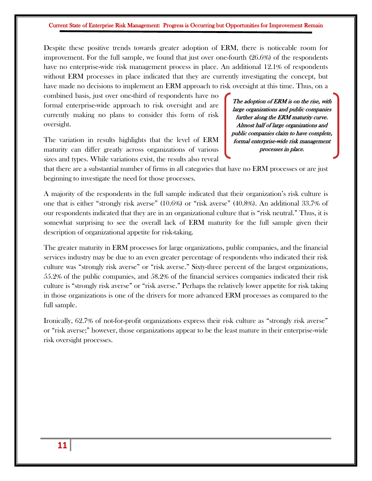Despite these positive trends towards greater adoption of ERM, there is noticeable room for improvement. For the full sample, we found that just over one-fourth (26.6%) of the respondents have no enterprise-wide risk management process in place. An additional 12.1% of respondents without ERM processes in place indicated that they are currently investigating the concept, but have made no decisions to implement an ERM approach to risk oversight at this time. Thus, on a

combined basis, just over one-third of respondents have no formal enterprise-wide approach to risk oversight and are currently making no plans to consider this form of risk oversight.

The variation in results highlights that the level of ERM maturity can differ greatly across organizations of various sizes and types. While variations exist, the results also reveal

The adoption of ERM is on the rise, with large organizations and public companies further along the ERM maturity curve. Almost half of large organizations and public companies claim to have complete, formal enterprise-wide risk management processes in place.

that there are a substantial number of firms in all categories that have no ERM processes or are just beginning to investigate the need for those processes.

A majority of the respondents in the full sample indicated that their organization's risk culture is one that is either "strongly risk averse" (10.6%) or "risk averse" (40.8%). An additional 33.7% of our respondents indicated that they are in an organizational culture that is "risk neutral." Thus, it is somewhat surprising to see the overall lack of ERM maturity for the full sample given their description of organizational appetite for risk-taking.

The greater maturity in ERM processes for large organizations, public companies, and the financial services industry may be due to an even greater percentage of respondents who indicated their risk culture was "strongly risk averse" or "risk averse." Sixty-three percent of the largest organizations, 55.2% of the public companies, and 58.2% of the financial services companies indicated their risk culture is "strongly risk averse" or "risk averse." Perhaps the relatively lower appetite for risk taking in those organizations is one of the drivers for more advanced ERM processes as compared to the full sample.

Ironically, 62.7% of not-for-profit organizations express their risk culture as "strongly risk averse" or "risk averse;" however, those organizations appear to be the least mature in their enterprise-wide risk oversight processes.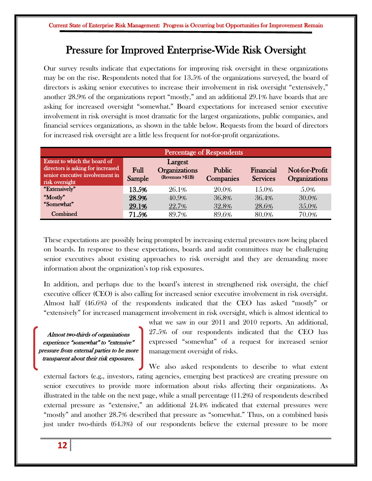## Pressure for Improved Enterprise-Wide Risk Oversight

Our survey results indicate that expectations for improving risk oversight in these organizations may be on the rise. Respondents noted that for 13.5% of the organizations surveyed, the board of directors is asking senior executives to increase their involvement in risk oversight "extensively," another 28.9% of the organizations report "mostly," and an additional 29.1% have boards that are asking for increased oversight "somewhat." Board expectations for increased senior executive involvement in risk oversight is most dramatic for the largest organizations, public companies, and financial services organizations, as shown in the table below. Requests from the board of directors for increased risk oversight are a little less frequent for not-for-profit organizations.

| Percentage of Respondents                                                                                              |                |                                                     |                     |                              |                                        |  |  |
|------------------------------------------------------------------------------------------------------------------------|----------------|-----------------------------------------------------|---------------------|------------------------------|----------------------------------------|--|--|
| Extent to which the board of<br>directors is asking for increased<br>senior executive involvement in<br>risk oversight | Full<br>Sample | Largest<br><b>Organizations</b><br>(Revenues >\$1B) | Public<br>Companies | Financial<br><b>Services</b> | Not-for-Profit<br><b>Organizations</b> |  |  |
| "Extensively"                                                                                                          | 13.5%          | 26.1%                                               | 20.0%               | 15.0%                        | 5.0%                                   |  |  |
| "Mostly"                                                                                                               | 28.9%          | 40.9%                                               | 36.8%               | 36.4%                        | 30.0%                                  |  |  |
| "Somewhat"                                                                                                             | 29.1%          | 22.7%                                               | 32.8%               | 28.6%                        | 35.0%                                  |  |  |
| Combined                                                                                                               | 71.5%          | 89.7%                                               | 89.6%               | 80.0%                        | 70.0%                                  |  |  |

These expectations are possibly being prompted by increasing external pressures now being placed on boards. In response to these expectations, boards and audit committees may be challenging senior executives about existing approaches to risk oversight and they are demanding more information about the organization's top risk exposures.

In addition, and perhaps due to the board's interest in strengthened risk oversight, the chief executive officer (CEO) is also calling for increased senior executive involvement in risk oversight. Almost half (46.6%) of the respondents indicated that the CEO has asked "mostly" or "extensively" for increased management involvement in risk oversight, which is almost identical to

Almost two-thirds of organizations experience "somewhat" to "extensive" pressure from external parties to be more transparent about their risk exposures.

what we saw in our 2011 and 2010 reports. An additional, 27.5% of our respondents indicated that the CEO has expressed "somewhat" of a request for increased senior management oversight of risks.

We also asked respondents to describe to what extent external factors (e.g., investors, rating agencies, emerging best practices) are creating pressure on senior executives to provide more information about risks affecting their organizations. As illustrated in the table on the next page, while a small percentage (11.2%) of respondents described external pressure as "extensive," an additional 24.4% indicated that external pressures were "mostly" and another 28.7% described that pressure as "somewhat." Thus, on a combined basis just under two-thirds (64.3%) of our respondents believe the external pressure to be more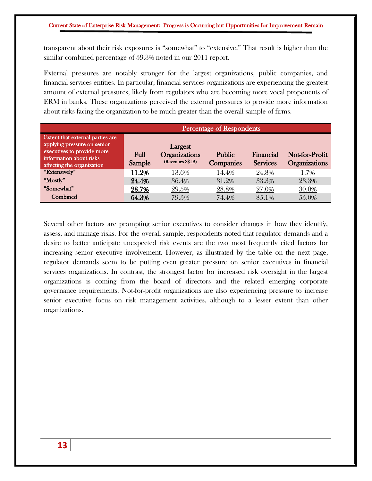transparent about their risk exposures is "somewhat" to "extensive." That result is higher than the similar combined percentage of 59.3% noted in our 2011 report.

External pressures are notably stronger for the largest organizations, public companies, and financial services entities. In particular, financial services organizations are experiencing the greatest amount of external pressures, likely from regulators who are becoming more vocal proponents of ERM in banks. These organizations perceived the external pressures to provide more information about risks facing the organization to be much greater than the overall sample of firms.

|                                                                                                                                                        |                | <b>Percentage of Respondents</b>                     |                            |                              |                                        |  |  |
|--------------------------------------------------------------------------------------------------------------------------------------------------------|----------------|------------------------------------------------------|----------------------------|------------------------------|----------------------------------------|--|--|
| Extent that external parties are<br>applying pressure on senior<br>executives to provide more<br>information about risks<br>affecting the organization | Full<br>Sample | Largest<br><b>Organizations</b><br>(Revenues > \$1B) | <b>Public</b><br>Companies | Financial<br><b>Services</b> | Not-for-Profit<br><b>Organizations</b> |  |  |
| "Extensively"                                                                                                                                          | 11.2%          | 13.6%                                                | 14.4%                      | 24.8%                        | 1.7%                                   |  |  |
| "Mostly"                                                                                                                                               | 24.4%          | 36.4%                                                | 31.2%                      | 33.3%                        | 23.3%                                  |  |  |
| "Somewhat"                                                                                                                                             | 28.7%          | 29.5%                                                | 28.8%                      | 27.0%                        | 30.0%                                  |  |  |
| Combined                                                                                                                                               | 64.3%          | 79.5%                                                | 74.4%                      | 85.1%                        | 55.0%                                  |  |  |

Several other factors are prompting senior executives to consider changes in how they identify, assess, and manage risks. For the overall sample, respondents noted that regulator demands and a desire to better anticipate unexpected risk events are the two most frequently cited factors for increasing senior executive involvement. However, as illustrated by the table on the next page, regulator demands seem to be putting even greater pressure on senior executives in financial services organizations. In contrast, the strongest factor for increased risk oversight in the largest organizations is coming from the board of directors and the related emerging corporate governance requirements. Not-for-profit organizations are also experiencing pressure to increase senior executive focus on risk management activities, although to a lesser extent than other organizations.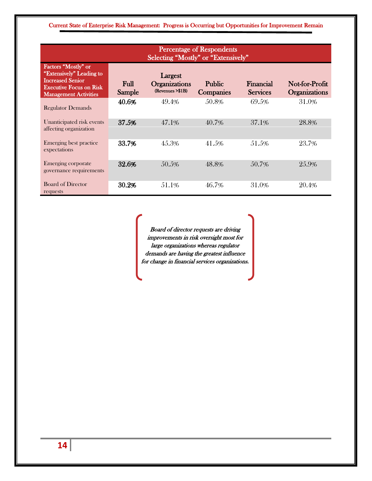| <b>Percentage of Respondents</b><br>Selecting "Mostly" or "Extensively"                                                                      |                |                                                     |                            |                              |                                        |  |  |  |
|----------------------------------------------------------------------------------------------------------------------------------------------|----------------|-----------------------------------------------------|----------------------------|------------------------------|----------------------------------------|--|--|--|
| Factors "Mostly" or<br>"Extensively" Leading to<br><b>Increased Senior</b><br><b>Executive Focus on Risk</b><br><b>Management Activities</b> | Full<br>Sample | Largest<br><b>Organizations</b><br>(Revenues >\$1B) | <b>Public</b><br>Companies | Financial<br><b>Services</b> | Not-for-Profit<br><b>Organizations</b> |  |  |  |
| <b>Regulator Demands</b>                                                                                                                     | 40.6%          | 49.4%                                               | 50.8%                      | 69.5%                        | 31.0%                                  |  |  |  |
| Unanticipated risk events<br>affecting organization                                                                                          | 37.5%          | 47.1%                                               | 40.7%                      | 37.1%                        | 28.8%                                  |  |  |  |
| Emerging best practice<br>expectations                                                                                                       | 33.7%          | 45.3%                                               | 41.5%                      | 51.5%                        | 23.7%                                  |  |  |  |
| Emerging corporate<br>governance requirements                                                                                                | 32.6%          | 50.5%                                               | 48.8%                      | 50.7%                        | 25.9%                                  |  |  |  |
| <b>Board of Director</b><br>requests                                                                                                         | 30.2%          | 51.1%                                               | 46.7%                      | 31.0%                        | 20.4%                                  |  |  |  |

Board of director requests are driving improvements in risk oversight most for large organizations whereas regulator demands are having the greatest influence for change in financial services organizations.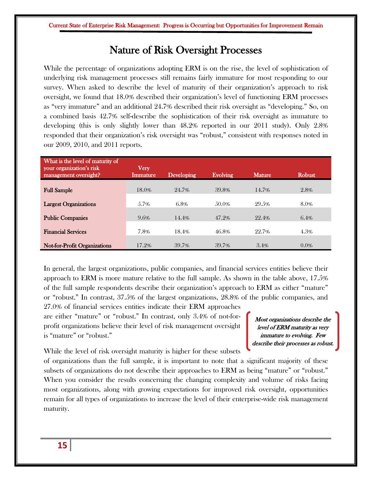### Nature of Risk Oversight Processes

While the percentage of organizations adopting ERM is on the rise, the level of sophistication of underlying risk management processes still remains fairly immature for most responding to our survey. When asked to describe the level of maturity of their organization's approach to risk oversight, we found that 18.0% described their organization's level of functioning ERM processes as "very immature" and an additional 24.7% described their risk oversight as "developing." So, on a combined basis 42.7% self-describe the sophistication of their risk oversight as immature to developing (this is only slightly lower than 48.2% reported in our 2011 study). Only 2.8% responded that their organization's risk oversight was "robust," consistent with responses noted in our 2009, 2010, and 2011 reports.

| What is the level of maturity of<br>your organization's risk<br>management oversight? | Very<br>Immature | Developing | <b>Evolving</b> | <b>Mature</b> | <b>Robust</b> |
|---------------------------------------------------------------------------------------|------------------|------------|-----------------|---------------|---------------|
| <b>Full Sample</b>                                                                    | 18.0%            | 24.7%      | 39.8%           | 14.7%         | 2.8%          |
| <b>Largest Organizations</b>                                                          | 5.7%             | $6.8\%$    | 50.0%           | 29.5%         | 8.0%          |
| <b>Public Companies</b>                                                               | 9.6%             | 14.4%      | 47.2%           | 22.4%         | 6.4%          |
| <b>Financial Services</b>                                                             | 7.8%             | 18.4%      | 46.8%           | 22.7%         | 4.3%          |
| <b>Not-for-Profit Organizations</b>                                                   | 17.2%            | 39.7%      | 39.7%           | 3.4%          | $0.0\%$       |

In general, the largest organizations, public companies, and financial services entities believe their approach to ERM is more mature relative to the full sample. As shown in the table above, 17.5% of the full sample respondents describe their organization's approach to ERM as either "mature" or "robust." In contrast, 37.5% of the largest organizations, 28.8% of the public companies, and

27.0% of financial services entities indicate their ERM approaches are either "mature" or "robust." In contrast, only 3.4% of not-forprofit organizations believe their level of risk management oversight is "mature" or "robust."

Most organizations describe the level of ERM maturity as very immature to evolving. Few describe their processes as robust.

While the level of risk oversight maturity is higher for these subsets

of organizations than the full sample, it is important to note that a significant majority of these subsets of organizations do not describe their approaches to ERM as being "mature" or "robust." When you consider the results concerning the changing complexity and volume of risks facing most organizations, along with growing expectations for improved risk oversight, opportunities remain for all types of organizations to increase the level of their enterprise-wide risk management maturity.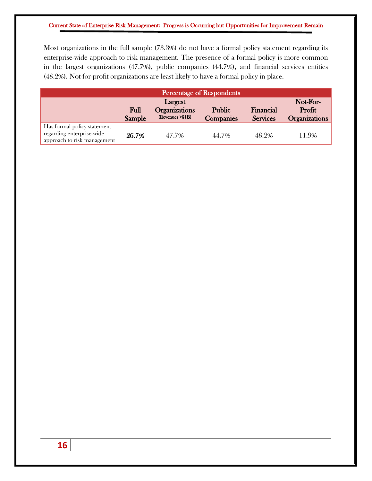Most organizations in the full sample (73.3%) do not have a formal policy statement regarding its enterprise-wide approach to risk management. The presence of a formal policy is more common in the largest organizations (47.7%), public companies (44.7%), and financial services entities (48.2%). Not-for-profit organizations are least likely to have a formal policy in place.

| Percentage of Respondents                                                               |                |                                           |                            |                              |                                |  |
|-----------------------------------------------------------------------------------------|----------------|-------------------------------------------|----------------------------|------------------------------|--------------------------------|--|
|                                                                                         |                | Not-For-                                  |                            |                              |                                |  |
|                                                                                         | Full<br>Sample | <b>Organizations</b><br>(Revenues > \$1B) | Public<br><b>Companies</b> | Financial<br><b>Services</b> | Profit<br><b>Organizations</b> |  |
| Has formal policy statement<br>regarding enterprise-wide<br>approach to risk management | 26.7%          | 47.7%                                     | 44.7%                      | 48.2%                        | 11.9%                          |  |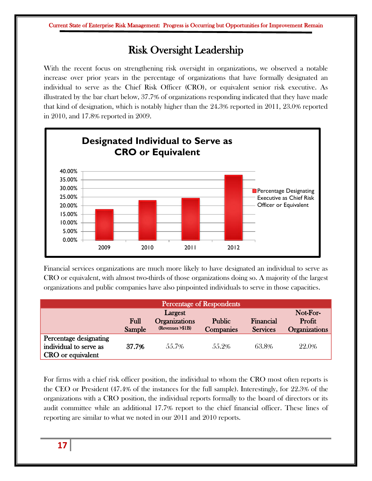# Risk Oversight Leadership

With the recent focus on strengthening risk oversight in organizations, we observed a notable increase over prior years in the percentage of organizations that have formally designated an individual to serve as the Chief Risk Officer (CRO), or equivalent senior risk executive. As illustrated by the bar chart below, 37.7% of organizations responding indicated that they have made that kind of designation, which is notably higher than the 24.3% reported in 2011, 23.0% reported in 2010, and 17.8% reported in 2009.



Financial services organizations are much more likely to have designated an individual to serve as CRO or equivalent, with almost two-thirds of those organizations doing so. A majority of the largest organizations and public companies have also pinpointed individuals to serve in those capacities.

| Percentage of Respondents                                             |             |                                           |                  |                 |                      |  |
|-----------------------------------------------------------------------|-------------|-------------------------------------------|------------------|-----------------|----------------------|--|
|                                                                       |             | Not-For-                                  |                  |                 |                      |  |
|                                                                       | <b>Full</b> | <b>Organizations</b><br>(Revenues > \$1B) | <b>Public</b>    | Financial       | Profit               |  |
|                                                                       | Sample      |                                           | <b>Companies</b> | <b>Services</b> | <b>Organizations</b> |  |
| Percentage designating<br>individual to serve as<br>CRO or equivalent | 37.7%       | 55.7%                                     | 55.2%            | 63.8%           | 22.0%                |  |

For firms with a chief risk officer position, the individual to whom the CRO most often reports is the CEO or President (47.4% of the instances for the full sample). Interestingly, for 22.3% of the organizations with a CRO position, the individual reports formally to the board of directors or its audit committee while an additional 17.7% report to the chief financial officer. These lines of reporting are similar to what we noted in our 2011 and 2010 reports.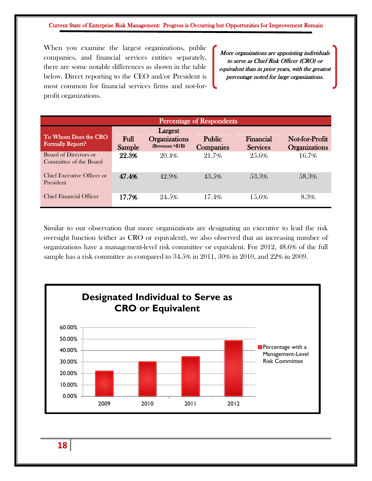When you examine the largest organizations, public companies, and financial services entities separately, there are some notable differences as shown in the table below. Direct reporting to the CEO and/or President is most common for financial services firms and not-forprofit organizations.

More organizations are appointing individuals to serve as Chief Risk Officer (CRO) or equivalent than in prior years, with the greatest percentage noted for large organizations.

| <b>Percentage of Respondents</b>                |                |                                                      |                                   |                              |                                 |  |  |  |
|-------------------------------------------------|----------------|------------------------------------------------------|-----------------------------------|------------------------------|---------------------------------|--|--|--|
| To Whom Does the CRO<br><b>Formally Report?</b> | Full<br>Sample | Largest<br><b>Organizations</b><br>(Revenues > \$1B) | <b>Public</b><br><b>Companies</b> | Financial<br><b>Services</b> | Not-for-Profit<br>Organizations |  |  |  |
| Board of Directors or<br>Committee of the Board | 22.3%          | 20.4%                                                | 21.7%                             | 25.6%                        | 16.7%                           |  |  |  |
| Chief Executive Officer or<br>President         | 47.4%          | 42.9%                                                | 43.5%                             | 53.3%                        | 58.3%                           |  |  |  |
| <b>Chief Financial Officer</b>                  | 17.7%          | 24.5%                                                | 17.4%                             | 15.6%                        | 8.3%                            |  |  |  |

Similar to our observation that more organizations are designating an executive to lead the risk oversight function (either as CRO or equivalent), we also observed that an increasing number of organizations have a management-level risk committee or equivalent. For 2012, 48.6% of the full sample has a risk committee as compared to 34.5% in 2011, 30% in 2010, and 22% in 2009.



**18**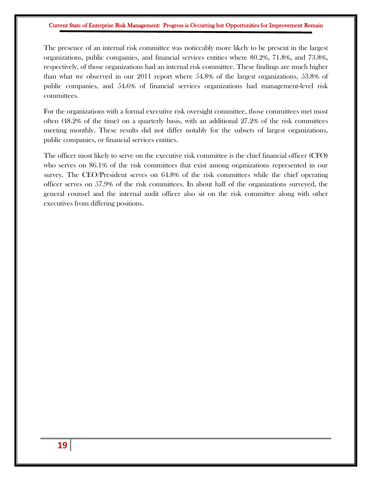The presence of an internal risk committee was noticeably more likely to be present in the largest organizations, public companies, and financial services entities where 80.2%, 71.8%, and 73.8%, respectively, of those organizations had an internal risk committee. These findings are much higher than what we observed in our 2011 report where 54.8% of the largest organizations, 53.8% of public companies, and 54.6% of financial services organizations had management-level risk committees.

For the organizations with a formal executive risk oversight committee, those committees met most often (48.2% of the time) on a quarterly basis, with an additional 27.2% of the risk committees meeting monthly. These results did not differ notably for the subsets of largest organizations, public companies, or financial services entities.

The officer most likely to serve on the executive risk committee is the chief financial officer (CFO) who serves on 86.1% of the risk committees that exist among organizations represented in our survey. The CEO/President serves on 64.8% of the risk committees while the chief operating officer serves on 57.9% of the risk committees. In about half of the organizations surveyed, the general counsel and the internal audit officer also sit on the risk committee along with other executives from differing positions.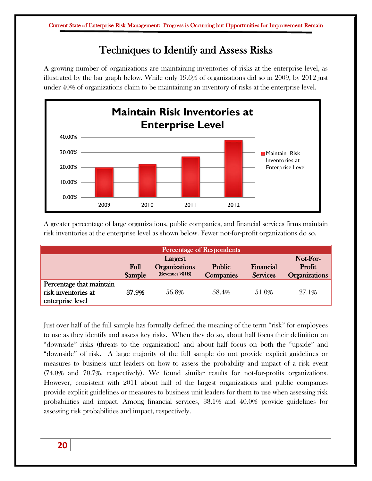# Techniques to Identify and Assess Risks

A growing number of organizations are maintaining inventories of risks at the enterprise level, as illustrated by the bar graph below. While only 19.6% of organizations did so in 2009, by 2012 just under 40% of organizations claim to be maintaining an inventory of risks at the enterprise level.



A greater percentage of large organizations, public companies, and financial services firms maintain risk inventories at the enterprise level as shown below. Fewer not-for-profit organizations do so.

|                                                                     |        |                                           | Percentage of Respondents |                 |               |
|---------------------------------------------------------------------|--------|-------------------------------------------|---------------------------|-----------------|---------------|
|                                                                     |        | Not-For-                                  |                           |                 |               |
|                                                                     | Full   | <b>Organizations</b><br>(Revenues > \$1B) | <b>Public</b>             | Financial       | Profit        |
|                                                                     | Sample |                                           | <b>Companies</b>          | <b>Services</b> | Organizations |
| Percentage that maintain<br>risk inventories at<br>enterprise level | 37.9%  | 56.8%                                     | 58.4%                     | 51.0%           | 27.1%         |

Just over half of the full sample has formally defined the meaning of the term "risk" for employees to use as they identify and assess key risks. When they do so, about half focus their definition on "downside" risks (threats to the organization) and about half focus on both the "upside" and "downside" of risk. A large majority of the full sample do not provide explicit guidelines or measures to business unit leaders on how to assess the probability and impact of a risk event (74.0% and 70.7%, respectively). We found similar results for not-for-profits organizations. However, consistent with 2011 about half of the largest organizations and public companies provide explicit guidelines or measures to business unit leaders for them to use when assessing risk probabilities and impact. Among financial services, 38.1% and 40.0% provide guidelines for assessing risk probabilities and impact, respectively.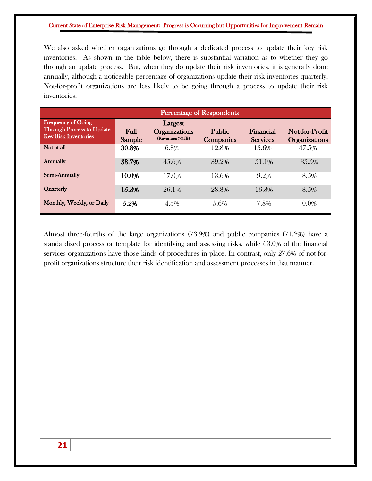We also asked whether organizations go through a dedicated process to update their key risk inventories. As shown in the table below, there is substantial variation as to whether they go through an update process. But, when they do update their risk inventories, it is generally done annually, although a noticeable percentage of organizations update their risk inventories quarterly. Not-for-profit organizations are less likely to be going through a process to update their risk inventories.

| <b>Percentage of Respondents</b>                                                             |                |                                                      |                            |                              |                                        |  |  |  |
|----------------------------------------------------------------------------------------------|----------------|------------------------------------------------------|----------------------------|------------------------------|----------------------------------------|--|--|--|
| <b>Frequency of Going</b><br><b>Through Process to Update</b><br><b>Key Risk Inventories</b> | Full<br>Sample | Largest<br><b>Organizations</b><br>(Revenues > \$1B) | <b>Public</b><br>Companies | Financial<br><b>Services</b> | Not-for-Profit<br><b>Organizations</b> |  |  |  |
| Not at all                                                                                   | 30.8%          | 6.8%                                                 | 12.8%                      | 15.6%                        | 47.5%                                  |  |  |  |
| Annually                                                                                     | 38.7%          | 45.6%                                                | 39.2%                      | 51.1\%                       | 35.5%                                  |  |  |  |
| Semi-Annually                                                                                | 10.0%          | 17.0%                                                | 13.6%                      | 9.2%                         | 8.5%                                   |  |  |  |
| Quarterly                                                                                    | 15.3%          | 26.1%                                                | 28.8%                      | 16.3%                        | 8.5%                                   |  |  |  |
| Monthly, Weekly, or Daily                                                                    | 5.2%           | 4.5%                                                 | 5.6%                       | 7.8%                         | 0.0%                                   |  |  |  |

Almost three-fourths of the large organizations (73.9%) and public companies (71.2%) have a standardized process or template for identifying and assessing risks, while 63.0% of the financial services organizations have those kinds of procedures in place. In contrast, only 27.6% of not-forprofit organizations structure their risk identification and assessment processes in that manner.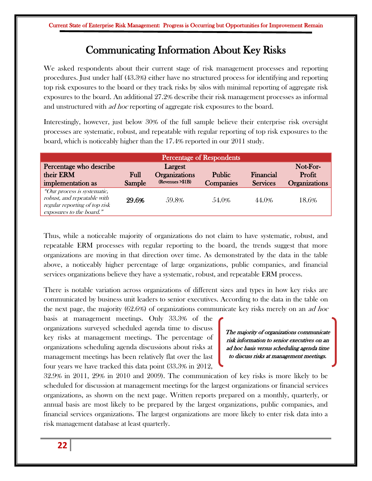## Communicating Information About Key Risks

We asked respondents about their current stage of risk management processes and reporting procedures. Just under half (43.3%) either have no structured process for identifying and reporting top risk exposures to the board or they track risks by silos with minimal reporting of aggregate risk exposures to the board. An additional 27.2% describe their risk management processes as informal and unstructured with *ad hoc* reporting of aggregate risk exposures to the board.

Interestingly, however, just below 30% of the full sample believe their enterprise risk oversight processes are systematic, robust, and repeatable with regular reporting of top risk exposures to the board, which is noticeably higher than the 17.4% reported in our 2011 study.

| Percentage of Respondents                                                                                               |        |                                 |                  |                 |                      |  |  |
|-------------------------------------------------------------------------------------------------------------------------|--------|---------------------------------|------------------|-----------------|----------------------|--|--|
| Percentage who describe<br>their ERM                                                                                    | Full   | Largest<br><b>Organizations</b> | <b>Public</b>    | Financial       | Not-For-<br>Profit   |  |  |
| implementation as                                                                                                       | Sample | (Revenues > \$1B)               | <b>Companies</b> | <b>Services</b> | <b>Organizations</b> |  |  |
| "Our process is systematic,<br>robust, and repeatable with<br>regular reporting of top risk<br>exposures to the board." | 29.6%  | 59.8%                           | 54.0%            | 44.0%           | 18.6%                |  |  |

Thus, while a noticeable majority of organizations do not claim to have systematic, robust, and repeatable ERM processes with regular reporting to the board, the trends suggest that more organizations are moving in that direction over time. As demonstrated by the data in the table above, a noticeably higher percentage of large organizations, public companies, and financial services organizations believe they have a systematic, robust, and repeatable ERM process.

There is notable variation across organizations of different sizes and types in how key risks are communicated by business unit leaders to senior executives. According to the data in the table on the next page, the majority  $(62.6%)$  of organizations communicate key risks merely on an *ad hoc* 

basis at management meetings. Only 33.3% of the organizations surveyed scheduled agenda time to discuss key risks at management meetings. The percentage of organizations scheduling agenda discussions about risks at management meetings has been relatively flat over the last four years we have tracked this data point (33.3% in 2012,

The majority of organizations communicate risk information to senior executives on an ad hoc basis versus scheduling agenda time to discuss risks at management meetings.

32.9% in 2011, 29% in 2010 and 2009). The communication of key risks is more likely to be scheduled for discussion at management meetings for the largest organizations or financial services organizations, as shown on the next page. Written reports prepared on a monthly, quarterly, or annual basis are most likely to be prepared by the largest organizations, public companies, and financial services organizations. The largest organizations are more likely to enter risk data into a risk management database at least quarterly.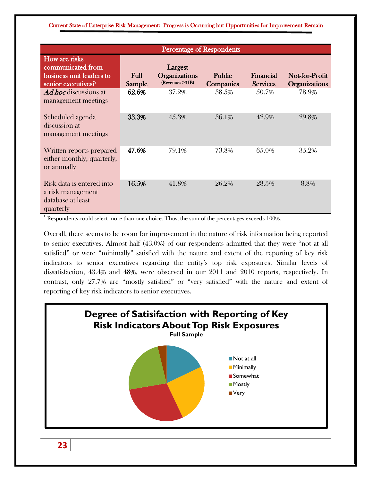|                                                                                      | <b>Percentage of Respondents</b> |                                              |                                   |                              |                                        |  |  |
|--------------------------------------------------------------------------------------|----------------------------------|----------------------------------------------|-----------------------------------|------------------------------|----------------------------------------|--|--|
| How are risks<br>communicated from<br>business unit leaders to<br>senior executives? | <b>Full</b><br><b>Sample</b>     | Largest<br>Organizations<br>(Revenues >\$1B) | <b>Public</b><br><b>Companies</b> | Financial<br><b>Services</b> | Not-for-Profit<br><b>Organizations</b> |  |  |
| <b>Ad hoc</b> discussions at<br>management meetings                                  | 62.6%                            | 37.2%                                        | 38.5%                             | 50.7%                        | 78.9%                                  |  |  |
| Scheduled agenda<br>discussion at<br>management meetings                             | 33.3%                            | 45.3%                                        | 36.1%                             | 42.9%                        | 29.8%                                  |  |  |
| Written reports prepared<br>either monthly, quarterly,<br>or annually                | 47.6%                            | 79.1%                                        | 73.8%                             | 65.0%                        | 35.2%                                  |  |  |
| Risk data is entered into<br>a risk management<br>database at least<br>quarterly     | 16.5%                            | 41.8%                                        | 26.2%                             | 28.5%                        | 8.8%                                   |  |  |

1 Respondents could select more than one choice. Thus, the sum of the percentages exceeds 100%.

Overall, there seems to be room for improvement in the nature of risk information being reported to senior executives. Almost half (43.0%) of our respondents admitted that they were "not at all satisfied" or were "minimally" satisfied with the nature and extent of the reporting of key risk indicators to senior executives regarding the entity's top risk exposures. Similar levels of dissatisfaction, 43.4% and 48%, were observed in our 2011 and 2010 reports, respectively. In contrast, only 27.7% are "mostly satisfied" or "very satisfied" with the nature and extent of reporting of key risk indicators to senior executives.

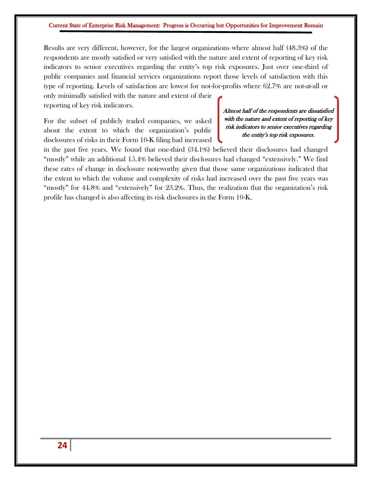Results are very different, however, for the largest organizations where almost half (48.3%) of the respondents are mostly satisfied or very satisfied with the nature and extent of reporting of key risk indicators to senior executives regarding the entity's top risk exposures. Just over one-third of public companies and financial services organizations report those levels of satisfaction with this type of reporting. Levels of satisfaction are lowest for not-for-profits where 62.7% are not-at-all or

only minimally satisfied with the nature and extent of their reporting of key risk indicators.

For the subset of publicly traded companies, we asked about the extent to which the organization's public disclosures of risks in their Form 10-K filing had increased

#### Almost half of the respondents are dissatisfied with the nature and extent of reporting of key risk indicators to senior executives regarding the entity's top risk exposures.

in the past five years. We found that one-third (34.1%) believed their disclosures had changed "mostly" while an additional 15.4% believed their disclosures had changed "extensively." We find these rates of change in disclosure noteworthy given that those same organizations indicated that the extent to which the volume and complexity of risks had increased over the past five years was "mostly" for 44.8% and "extensively" for 23.2%. Thus, the realization that the organization's risk profile has changed is also affecting its risk disclosures in the Form 10-K.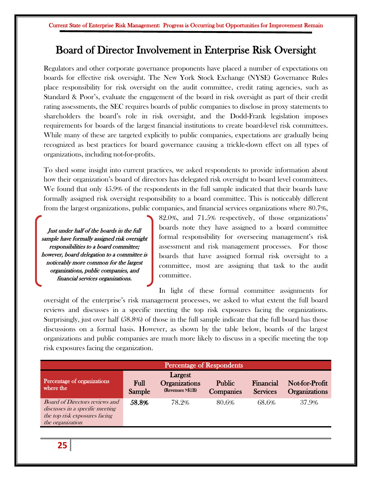### Board of Director Involvement in Enterprise Risk Oversight

Regulators and other corporate governance proponents have placed a number of expectations on boards for effective risk oversight. The New York Stock Exchange (NYSE) Governance Rules place responsibility for risk oversight on the audit committee, credit rating agencies, such as Standard & Poor's, evaluate the engagement of the board in risk oversight as part of their credit rating assessments, the SEC requires boards of public companies to disclose in proxy statements to shareholders the board's role in risk oversight, and the Dodd-Frank legislation imposes requirements for boards of the largest financial institutions to create board-level risk committees. While many of these are targeted explicitly to public companies, expectations are gradually being recognized as best practices for board governance causing a trickle-down effect on all types of organizations, including not-for-profits.

To shed some insight into current practices, we asked respondents to provide information about how their organization's board of directors has delegated risk oversight to board level committees. We found that only 45.9% of the respondents in the full sample indicated that their boards have formally assigned risk oversight responsibility to a board committee. This is noticeably different from the largest organizations, public companies, and financial services organizations where 80.7%,

Just under half of the boards in the full sample have formally assigned risk oversight responsibilities to a board committee; however, board delegation to a committee is noticeably more common for the largest organizations, public companies, and financial services organizations.

82.0%, and 71.5% respectively, of those organizations' boards note they have assigned to a board committee formal responsibility for overseeing management's risk assessment and risk management processes. For those boards that have assigned formal risk oversight to a committee, most are assigning that task to the audit committee.

In light of these formal committee assignments for oversight of the enterprise's risk management processes, we asked to what extent the full board reviews and discusses in a specific meeting the top risk exposures facing the organizations. Surprisingly, just over half (58.8%) of those in the full sample indicate that the full board has those discussions on a formal basis. However, as shown by the table below, boards of the largest organizations and public companies are much more likely to discuss in a specific meeting the top risk exposures facing the organization.

| <b>Percentage of Respondents</b>                                                                                              |                |                                                     |                                   |                              |                                        |  |  |
|-------------------------------------------------------------------------------------------------------------------------------|----------------|-----------------------------------------------------|-----------------------------------|------------------------------|----------------------------------------|--|--|
| Percentage of organizations<br>where the                                                                                      | Full<br>Sample | Largest<br><b>Organizations</b><br>(Revenues >\$1B) | <b>Public</b><br><b>Companies</b> | Financial<br><b>Services</b> | Not-for-Profit<br><b>Organizations</b> |  |  |
| <b>Board of Directors reviews and</b><br>discusses in a specific meeting<br>the top risk exposures facing<br>the organization | 58.8%          | 78.2%                                               | 80.6%                             | 68.6%                        | 37.9%                                  |  |  |

**25**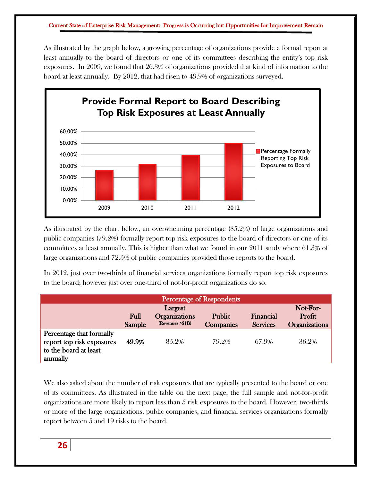As illustrated by the graph below, a growing percentage of organizations provide a formal report at least annually to the board of directors or one of its committees describing the entity's top risk exposures. In 2009, we found that 26.3% of organizations provided that kind of information to the board at least annually. By 2012, that had risen to 49.9% of organizations surveyed.



As illustrated by the chart below, an overwhelming percentage (85.2%) of large organizations and public companies (79.2%) formally report top risk exposures to the board of directors or one of its committees at least annually. This is higher than what we found in our 2011 study where 61.3% of large organizations and 72.5% of public companies provided those reports to the board.

In 2012, just over two-thirds of financial services organizations formally report top risk exposures to the board; however just over one-third of not-for-profit organizations do so.

|                                                                                            |                |                                                      | <b>Percentage of Respondents</b> |                              |                                            |
|--------------------------------------------------------------------------------------------|----------------|------------------------------------------------------|----------------------------------|------------------------------|--------------------------------------------|
|                                                                                            | Full<br>Sample | Largest<br><b>Organizations</b><br>(Revenues > \$1B) | Public<br><b>Companies</b>       | Financial<br><b>Services</b> | Not-For-<br>Profit<br><b>Organizations</b> |
| Percentage that formally<br>report top risk exposures<br>to the board at least<br>annually | 49.9%          | 85.2%                                                | 79.2%                            | 67.9%                        | 36.2%                                      |

We also asked about the number of risk exposures that are typically presented to the board or one of its committees. As illustrated in the table on the next page, the full sample and not-for-profit organizations are more likely to report less than 5 risk exposures to the board. However, two-thirds or more of the large organizations, public companies, and financial services organizations formally report between 5 and 19 risks to the board.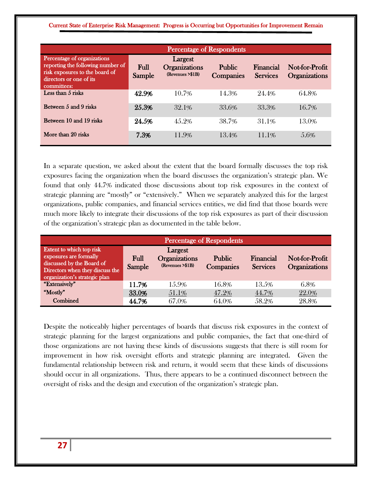|                                                                                                                                              |                | Percentage of Respondents                           |                            |                              |                                        |
|----------------------------------------------------------------------------------------------------------------------------------------------|----------------|-----------------------------------------------------|----------------------------|------------------------------|----------------------------------------|
| Percentage of organizations<br>reporting the following number of<br>risk exposures to the board of<br>directors or one of its<br>committees: | Full<br>Sample | Largest<br><b>Organizations</b><br>(Revenues >\$1B) | <b>Public</b><br>Companies | Financial<br><b>Services</b> | Not-for-Profit<br><b>Organizations</b> |
| Less than 5 risks                                                                                                                            | 42.9%          | 10.7%                                               | 14.3%                      | 24.4%                        | 64.8%                                  |
| Between 5 and 9 risks                                                                                                                        | 25.3%          | 32.1%                                               | 33.6%                      | 33.3%                        | 16.7%                                  |
| Between 10 and 19 risks                                                                                                                      | 24.5%          | 45.2%                                               | 38.7%                      | 31.1%                        | 13.0%                                  |
| More than 20 risks                                                                                                                           | 7.3%           | 11.9%                                               | 13.4%                      | 11.1\%                       | 5.6%                                   |

In a separate question, we asked about the extent that the board formally discusses the top risk exposures facing the organization when the board discusses the organization's strategic plan. We found that only 44.7% indicated those discussions about top risk exposures in the context of strategic planning are "mostly" or "extensively." When we separately analyzed this for the largest organizations, public companies, and financial services entities, we did find that those boards were much more likely to integrate their discussions of the top risk exposures as part of their discussion of the organization's strategic plan as documented in the table below.

| <b>Percentage of Respondents</b>                                                                                                                    |                |                                                     |                            |                              |                                        |  |  |  |
|-----------------------------------------------------------------------------------------------------------------------------------------------------|----------------|-----------------------------------------------------|----------------------------|------------------------------|----------------------------------------|--|--|--|
| Extent to which top risk<br>exposures are formally<br>discussed by the Board of<br>Directors when they discuss the<br>organization's strategic plan | Full<br>Sample | Largest<br><b>Organizations</b><br>(Revenues >\$1B) | Public<br><b>Companies</b> | Financial<br><b>Services</b> | Not-for-Profit<br><b>Organizations</b> |  |  |  |
| "Extensively"                                                                                                                                       | 11.7%          | 15.9%                                               | 16.8%                      | 13.5%                        | 6.8%                                   |  |  |  |
| "Mostly"                                                                                                                                            | 33.0%          | 51.1\%                                              | 47.2%                      | 44.7%                        | 22.0%                                  |  |  |  |
| Combined                                                                                                                                            | 44.7%          | 67.0%                                               | 64.0%                      | 58.2%                        | 28.8%                                  |  |  |  |

Despite the noticeably higher percentages of boards that discuss risk exposures in the context of strategic planning for the largest organizations and public companies, the fact that one-third of those organizations are not having these kinds of discussions suggests that there is still room for improvement in how risk oversight efforts and strategic planning are integrated. Given the fundamental relationship between risk and return, it would seem that these kinds of discussions should occur in all organizations. Thus, there appears to be a continued disconnect between the oversight of risks and the design and execution of the organization's strategic plan.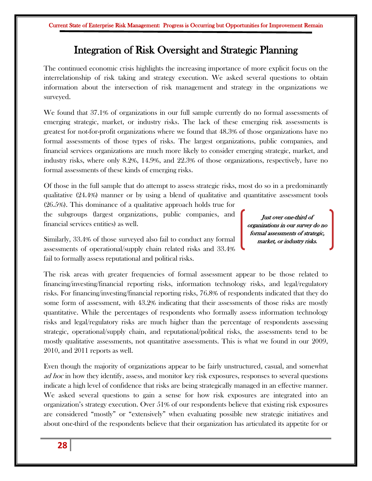### Integration of Risk Oversight and Strategic Planning

The continued economic crisis highlights the increasing importance of more explicit focus on the interrelationship of risk taking and strategy execution. We asked several questions to obtain information about the intersection of risk management and strategy in the organizations we surveyed.

We found that 37.1% of organizations in our full sample currently do no formal assessments of emerging strategic, market, or industry risks. The lack of these emerging risk assessments is greatest for not-for-profit organizations where we found that 48.3% of those organizations have no formal assessments of those types of risks. The largest organizations, public companies, and financial services organizations are much more likely to consider emerging strategic, market, and industry risks, where only 8.2%, 14.9%, and 22.3% of those organizations, respectively, have no formal assessments of these kinds of emerging risks.

Of those in the full sample that do attempt to assess strategic risks, most do so in a predominantly qualitative (24.4%) manner or by using a blend of qualitative and quantitative assessment tools

(26.5%). This dominance of a qualitative approach holds true for the subgroups (largest organizations, public companies, and financial services entities) as well.

Just over one-third of organizations in our survey do no formal assessments of strategic, market, or industry risks.

Similarly, 33.4% of those surveyed also fail to conduct any formal assessments of operational/supply chain related risks and 33.4% fail to formally assess reputational and political risks.

The risk areas with greater frequencies of formal assessment appear to be those related to financing/investing/financial reporting risks, information technology risks, and legal/regulatory risks. For financing/investing/financial reporting risks, 76.8% of respondents indicated that they do some form of assessment, with 43.2% indicating that their assessments of those risks are mostly quantitative. While the percentages of respondents who formally assess information technology risks and legal/regulatory risks are much higher than the percentage of respondents assessing strategic, operational/supply chain, and reputational/political risks, the assessments tend to be mostly qualitative assessments, not quantitative assessments. This is what we found in our 2009, 2010, and 2011 reports as well.

Even though the majority of organizations appear to be fairly unstructured, casual, and somewhat ad hoc in how they identify, assess, and monitor key risk exposures, responses to several questions indicate a high level of confidence that risks are being strategically managed in an effective manner. We asked several questions to gain a sense for how risk exposures are integrated into an organization's strategy execution. Over 51% of our respondents believe that existing risk exposures are considered "mostly" or "extensively" when evaluating possible new strategic initiatives and about one-third of the respondents believe that their organization has articulated its appetite for or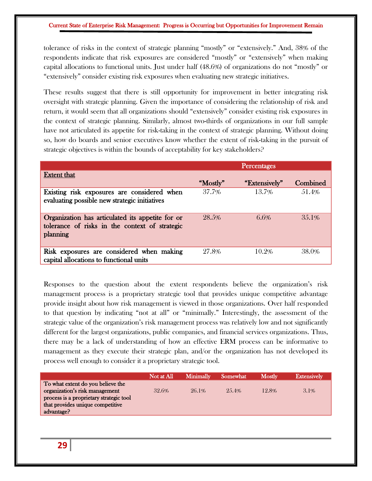tolerance of risks in the context of strategic planning "mostly" or "extensively." And, 38% of the respondents indicate that risk exposures are considered "mostly" or "extensively" when making capital allocations to functional units. Just under half (48.6%) of organizations do not "mostly" or "extensively" consider existing risk exposures when evaluating new strategic initiatives.

These results suggest that there is still opportunity for improvement in better integrating risk oversight with strategic planning. Given the importance of considering the relationship of risk and return, it would seem that all organizations should "extensively" consider existing risk exposures in the context of strategic planning. Similarly, almost two-thirds of organizations in our full sample have not articulated its appetite for risk-taking in the context of strategic planning. Without doing so, how do boards and senior executives know whether the extent of risk-taking in the pursuit of strategic objectives is within the bounds of acceptability for key stakeholders?

|                                                                                                                |          | Percentages   |          |
|----------------------------------------------------------------------------------------------------------------|----------|---------------|----------|
| <b>Extent that</b>                                                                                             |          |               |          |
|                                                                                                                | "Mostly" | "Extensively" | Combined |
| Existing risk exposures are considered when<br>evaluating possible new strategic initiatives                   | 37.7%    | 13.7%         | 51.4%    |
| Organization has articulated its appetite for or<br>tolerance of risks in the context of strategic<br>planning | 28.5%    | 6.6%          | 35.1%    |
| Risk exposures are considered when making<br>capital allocations to functional units                           | 27.8%    | 10.2%         | 38.0%    |

Responses to the question about the extent respondents believe the organization's risk management process is a proprietary strategic tool that provides unique competitive advantage provide insight about how risk management is viewed in those organizations. Over half responded to that question by indicating "not at all" or "minimally." Interestingly, the assessment of the strategic value of the organization's risk management process was relatively low and not significantly different for the largest organizations, public companies, and financial services organizations. Thus, there may be a lack of understanding of how an effective ERM process can be informative to management as they execute their strategic plan, and/or the organization has not developed its process well enough to consider it a proprietary strategic tool.

|                                         | Not at All | <b>Minimally</b> | <b>Somewhat</b> | Mostly | <b>Extensively</b> |
|-----------------------------------------|------------|------------------|-----------------|--------|--------------------|
| To what extent do you believe the       |            |                  |                 |        |                    |
| organization's risk management          | 32.6%      | 26.1%            | 25.4%           | 12.8%  | 3.1%               |
| process is a proprietary strategic tool |            |                  |                 |        |                    |
| that provides unique competitive        |            |                  |                 |        |                    |
| advantage?                              |            |                  |                 |        |                    |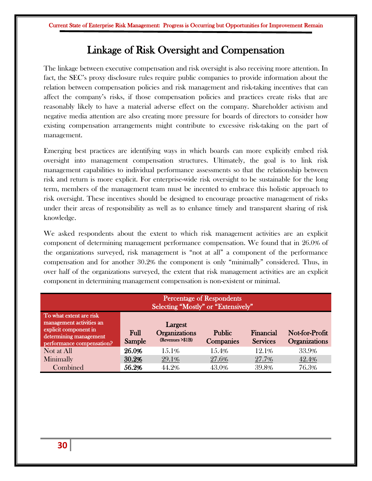### Linkage of Risk Oversight and Compensation

The linkage between executive compensation and risk oversight is also receiving more attention. In fact, the SEC's proxy disclosure rules require public companies to provide information about the relation between compensation policies and risk management and risk-taking incentives that can affect the company's risks, if those compensation policies and practices create risks that are reasonably likely to have a material adverse effect on the company. Shareholder activism and negative media attention are also creating more pressure for boards of directors to consider how existing compensation arrangements might contribute to excessive risk-taking on the part of management.

Emerging best practices are identifying ways in which boards can more explicitly embed risk oversight into management compensation structures. Ultimately, the goal is to link risk management capabilities to individual performance assessments so that the relationship between risk and return is more explicit. For enterprise-wide risk oversight to be sustainable for the long term, members of the management team must be incented to embrace this holistic approach to risk oversight. These incentives should be designed to encourage proactive management of risks under their areas of responsibility as well as to enhance timely and transparent sharing of risk knowledge.

We asked respondents about the extent to which risk management activities are an explicit component of determining management performance compensation. We found that in 26.0% of the organizations surveyed, risk management is "not at all" a component of the performance compensation and for another 30.2% the component is only "minimally" considered. Thus, in over half of the organizations surveyed, the extent that risk management activities are an explicit component in determining management compensation is non-existent or minimal.

| <b>Percentage of Respondents</b><br>Selecting "Mostly" or "Extensively"                                                             |                |                                                     |                                   |                              |                                        |  |  |
|-------------------------------------------------------------------------------------------------------------------------------------|----------------|-----------------------------------------------------|-----------------------------------|------------------------------|----------------------------------------|--|--|
| To what extent are risk<br>management activities an<br>explicit component in<br>determining management<br>performance compensation? | Full<br>Sample | Largest<br><b>Organizations</b><br>(Revenues >\$1B) | <b>Public</b><br><b>Companies</b> | Financial<br><b>Services</b> | Not-for-Profit<br><b>Organizations</b> |  |  |
| Not at All                                                                                                                          | 26.0%          | 15.1%                                               | 15.4%                             | 12.1%                        | 33.9%                                  |  |  |
| Minimally                                                                                                                           | 30.2%          | 29.1%                                               | 27.6%                             | 27.7%                        | 42.4%                                  |  |  |
| Combined                                                                                                                            | 56.2%          | 44.2%                                               | 43.0%                             | 39.8%                        | 76.3%                                  |  |  |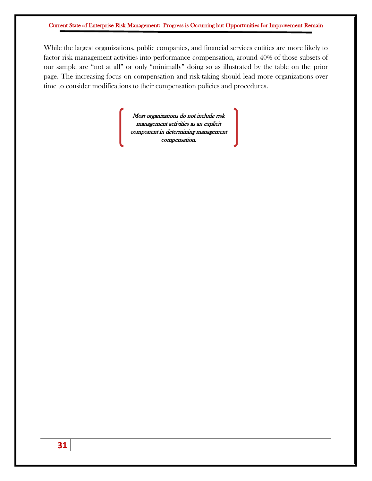While the largest organizations, public companies, and financial services entities are more likely to factor risk management activities into performance compensation, around 40% of those subsets of our sample are "not at all" or only "minimally" doing so as illustrated by the table on the prior page. The increasing focus on compensation and risk-taking should lead more organizations over time to consider modifications to their compensation policies and procedures.

> Most organizations do not include risk management activities as an explicit component in determining management compensation.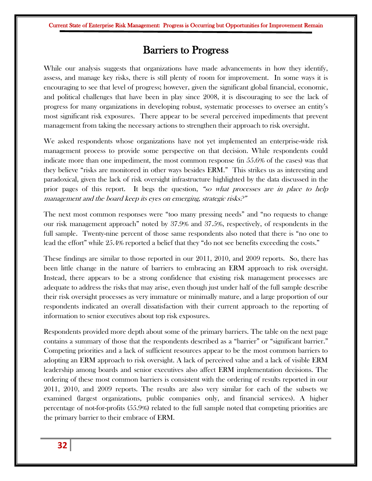### Barriers to Progress

While our analysis suggests that organizations have made advancements in how they identify, assess, and manage key risks, there is still plenty of room for improvement. In some ways it is encouraging to see that level of progress; however, given the significant global financial, economic, and political challenges that have been in play since 2008, it is discouraging to see the lack of progress for many organizations in developing robust, systematic processes to oversee an entity's most significant risk exposures. There appear to be several perceived impediments that prevent management from taking the necessary actions to strengthen their approach to risk oversight.

We asked respondents whose organizations have not yet implemented an enterprise-wide risk management process to provide some perspective on that decision. While respondents could indicate more than one impediment, the most common response (in 55.6% of the cases) was that they believe "risks are monitored in other ways besides ERM." This strikes us as interesting and paradoxical, given the lack of risk oversight infrastructure highlighted by the data discussed in the prior pages of this report. It begs the question, "so what processes are in place to help management and the board keep its eyes on emerging, strategic risks.<sup>9"</sup>

The next most common responses were "too many pressing needs" and "no requests to change our risk management approach" noted by 37.9% and 37.5%, respectively, of respondents in the full sample. Twenty-nine percent of those same respondents also noted that there is "no one to lead the effort" while 25.4% reported a belief that they "do not see benefits exceeding the costs."

These findings are similar to those reported in our 2011, 2010, and 2009 reports. So, there has been little change in the nature of barriers to embracing an ERM approach to risk oversight. Instead, there appears to be a strong confidence that existing risk management processes are adequate to address the risks that may arise, even though just under half of the full sample describe their risk oversight processes as very immature or minimally mature, and a large proportion of our respondents indicated an overall dissatisfaction with their current approach to the reporting of information to senior executives about top risk exposures.

Respondents provided more depth about some of the primary barriers. The table on the next page contains a summary of those that the respondents described as a "barrier" or "significant barrier." Competing priorities and a lack of sufficient resources appear to be the most common barriers to adopting an ERM approach to risk oversight. A lack of perceived value and a lack of visible ERM leadership among boards and senior executives also affect ERM implementation decisions. The ordering of these most common barriers is consistent with the ordering of results reported in our 2011, 2010, and 2009 reports. The results are also very similar for each of the subsets we examined (largest organizations, public companies only, and financial services). A higher percentage of not-for-profits (55.9%) related to the full sample noted that competing priorities are the primary barrier to their embrace of ERM.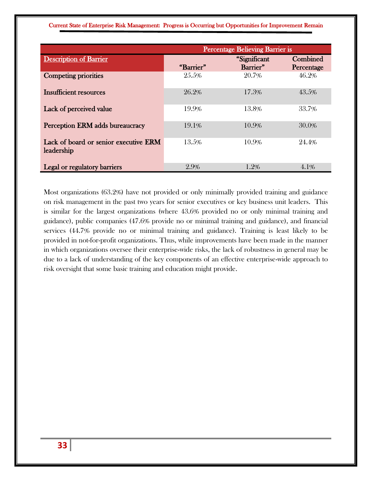|                                                     | <b>Percentage Believing Barrier is</b> |                          |                        |
|-----------------------------------------------------|----------------------------------------|--------------------------|------------------------|
| <b>Description of Barrier</b>                       | "Barrier"                              | "Significant<br>Barrier" | Combined<br>Percentage |
| <b>Competing priorities</b>                         | 25.5%                                  | 20.7%                    | 46.2%                  |
| <b>Insufficient resources</b>                       | 26.2%                                  | 17.3%                    | 43.5%                  |
| Lack of perceived value                             | 19.9%                                  | 13.8%                    | 33.7%                  |
| Perception ERM adds bureaucracy                     | 19.1%                                  | 10.9%                    | 30.0%                  |
| Lack of board or senior executive ERM<br>leadership | 13.5%                                  | 10.9%                    | 24.4%                  |
| Legal or regulatory barriers                        | 2.9%                                   | 1.2%                     | 4.1%                   |

Most organizations (63.2%) have not provided or only minimally provided training and guidance on risk management in the past two years for senior executives or key business unit leaders. This is similar for the largest organizations (where 43.6% provided no or only minimal training and guidance), public companies (47.6% provide no or minimal training and guidance), and financial services (44.7% provide no or minimal training and guidance). Training is least likely to be provided in not-for-profit organizations. Thus, while improvements have been made in the manner in which organizations oversee their enterprise-wide risks, the lack of robustness in general may be due to a lack of understanding of the key components of an effective enterprise-wide approach to risk oversight that some basic training and education might provide.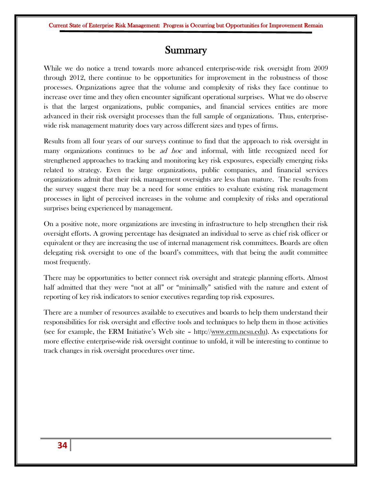### **Summary**

While we do notice a trend towards more advanced enterprise-wide risk oversight from 2009 through 2012, there continue to be opportunities for improvement in the robustness of those processes. Organizations agree that the volume and complexity of risks they face continue to increase over time and they often encounter significant operational surprises. What we do observe is that the largest organizations, public companies, and financial services entities are more advanced in their risk oversight processes than the full sample of organizations. Thus, enterprisewide risk management maturity does vary across different sizes and types of firms.

Results from all four years of our surveys continue to find that the approach to risk oversight in many organizations continues to be *ad hoc* and informal, with little recognized need for strengthened approaches to tracking and monitoring key risk exposures, especially emerging risks related to strategy. Even the large organizations, public companies, and financial services organizations admit that their risk management oversights are less than mature. The results from the survey suggest there may be a need for some entities to evaluate existing risk management processes in light of perceived increases in the volume and complexity of risks and operational surprises being experienced by management.

On a positive note, more organizations are investing in infrastructure to help strengthen their risk oversight efforts. A growing percentage has designated an individual to serve as chief risk officer or equivalent or they are increasing the use of internal management risk committees. Boards are often delegating risk oversight to one of the board's committees, with that being the audit committee most frequently.

There may be opportunities to better connect risk oversight and strategic planning efforts. Almost half admitted that they were "not at all" or "minimally" satisfied with the nature and extent of reporting of key risk indicators to senior executives regarding top risk exposures.

There are a number of resources available to executives and boards to help them understand their responsibilities for risk oversight and effective tools and techniques to help them in those activities (see for example, the ERM Initiative's Web site – http:/[/www.erm.ncsu.edu](http://www.erm.ncsu.edu/)). As expectations for more effective enterprise-wide risk oversight continue to unfold, it will be interesting to continue to track changes in risk oversight procedures over time.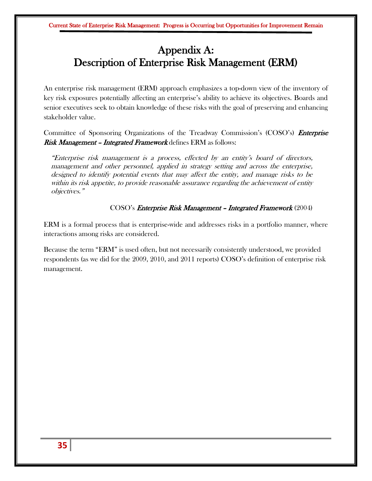### Appendix A: Description of Enterprise Risk Management (ERM)

An enterprise risk management (ERM) approach emphasizes a top-down view of the inventory of key risk exposures potentially affecting an enterprise's ability to achieve its objectives. Boards and senior executives seek to obtain knowledge of these risks with the goal of preserving and enhancing stakeholder value.

Committee of Sponsoring Organizations of the Treadway Commission's (COSO's) *Enterprise* **Risk Management – Integrated Framework** defines ERM as follows:

"Enterprise risk management is a process, effected by an entity's board of directors, management and other personnel, applied in strategy setting and across the enterprise, designed to identify potential events that may affect the entity, and manage risks to be within its risk appetite, to provide reasonable assurance regarding the achievement of entity objectives."

#### COSO's Enterprise Risk Management – Integrated Framework (2004)

ERM is a formal process that is enterprise-wide and addresses risks in a portfolio manner, where interactions among risks are considered.

Because the term "ERM" is used often, but not necessarily consistently understood, we provided respondents (as we did for the 2009, 2010, and 2011 reports) COSO's definition of enterprise risk management.